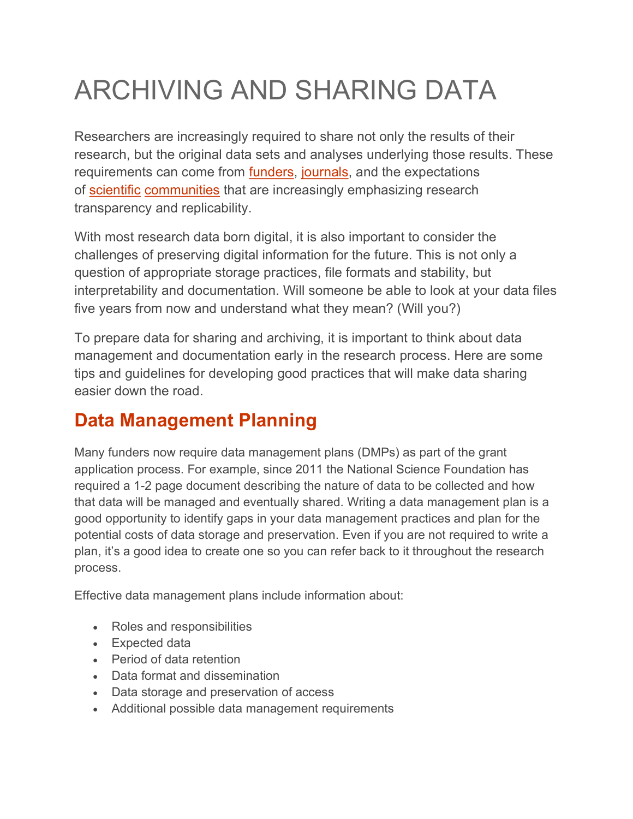# ARCHIVING AND SHARING DATA

Researchers are increasingly required to share not only the results of their research, but the original data sets and analyses underlying those results. These requirements can come from **funders**, journals, and the expectations of scientific communities that are increasingly emphasizing research transparency and replicability.

With most research data born digital, it is also important to consider the challenges of preserving digital information for the future. This is not only a question of appropriate storage practices, file formats and stability, but interpretability and documentation. Will someone be able to look at your data files five years from now and understand what they mean? (Will you?)

To prepare data for sharing and archiving, it is important to think about data management and documentation early in the research process. Here are some tips and guidelines for developing good practices that will make data sharing easier down the road.

# Data Management Planning

Many funders now require data management plans (DMPs) as part of the grant application process. For example, since 2011 the National Science Foundation has required a 1-2 page document describing the nature of data to be collected and how that data will be managed and eventually shared. Writing a data management plan is a good opportunity to identify gaps in your data management practices and plan for the potential costs of data storage and preservation. Even if you are not required to write a plan, it's a good idea to create one so you can refer back to it throughout the research process.

Effective data management plans include information about:

- Roles and responsibilities
- Expected data
- Period of data retention
- Data format and dissemination
- Data storage and preservation of access
- Additional possible data management requirements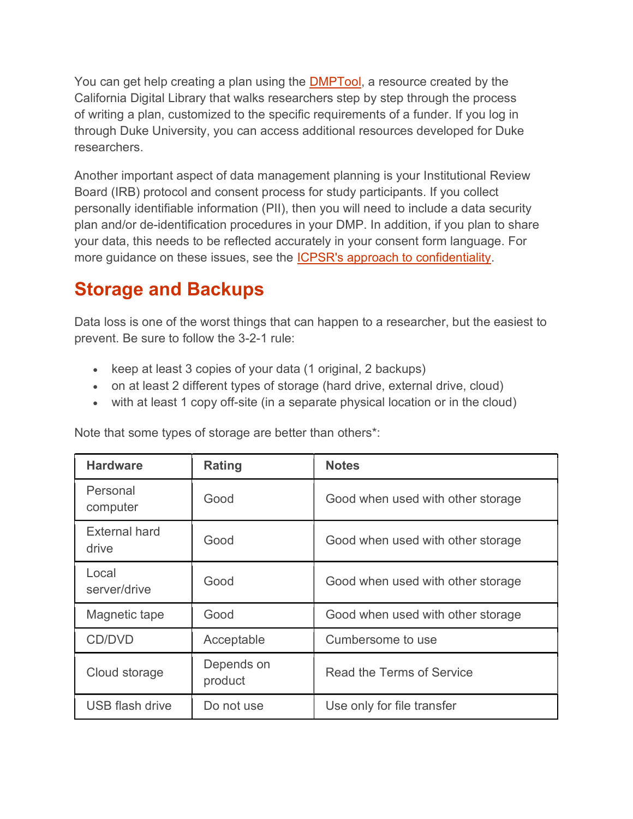You can get help creating a plan using the DMPTool, a resource created by the California Digital Library that walks researchers step by step through the process of writing a plan, customized to the specific requirements of a funder. If you log in through Duke University, you can access additional resources developed for Duke researchers.

Another important aspect of data management planning is your Institutional Review Board (IRB) protocol and consent process for study participants. If you collect personally identifiable information (PII), then you will need to include a data security plan and/or de-identification procedures in your DMP. In addition, if you plan to share your data, this needs to be reflected accurately in your consent form language. For more guidance on these issues, see the ICPSR's approach to confidentiality.

### Storage and Backups

Data loss is one of the worst things that can happen to a researcher, but the easiest to prevent. Be sure to follow the 3-2-1 rule:

- Exteep at least 3 copies of your data (1 original, 2 backups)
- on at least 2 different types of storage (hard drive, external drive, cloud)
- with at least 1 copy off-site (in a separate physical location or in the cloud)

| <b>Hardware</b>               | <b>Rating</b>         | <b>Notes</b>                      |
|-------------------------------|-----------------------|-----------------------------------|
| Personal<br>computer          | Good                  | Good when used with other storage |
| <b>External hard</b><br>drive | Good                  | Good when used with other storage |
| Local<br>server/drive         | Good                  | Good when used with other storage |
| Magnetic tape                 | Good                  | Good when used with other storage |
| CD/DVD                        | Acceptable            | Cumbersome to use                 |
| Cloud storage                 | Depends on<br>product | Read the Terms of Service         |
| USB flash drive               | Do not use            | Use only for file transfer        |

Note that some types of storage are better than others\*: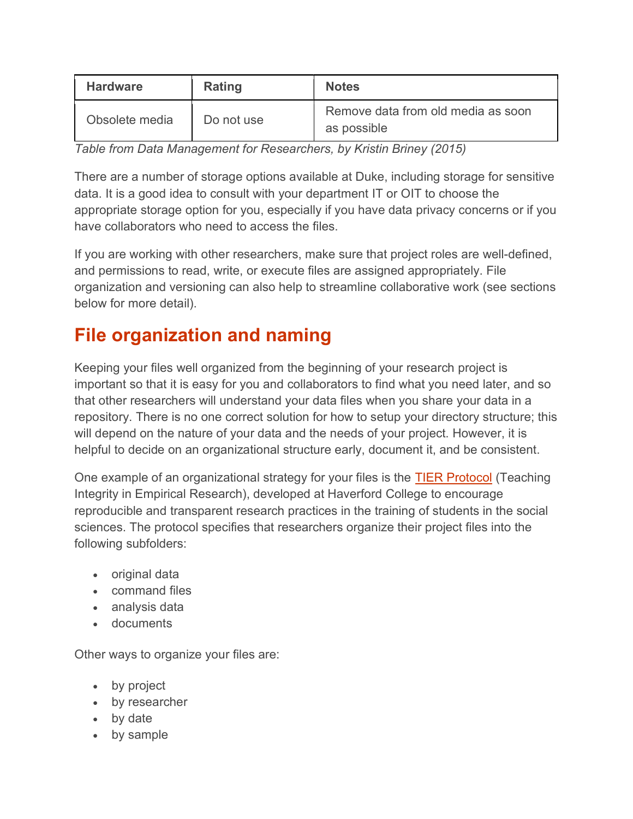| <b>Hardware</b> | Rating     | <b>Notes</b>                                      |
|-----------------|------------|---------------------------------------------------|
| Obsolete media  | Do not use | Remove data from old media as soon<br>as possible |

Table from Data Management for Researchers, by Kristin Briney (2015)

There are a number of storage options available at Duke, including storage for sensitive data. It is a good idea to consult with your department IT or OIT to choose the appropriate storage option for you, especially if you have data privacy concerns or if you have collaborators who need to access the files.

If you are working with other researchers, make sure that project roles are well-defined, and permissions to read, write, or execute files are assigned appropriately. File organization and versioning can also help to streamline collaborative work (see sections below for more detail).

# File organization and naming

Keeping your files well organized from the beginning of your research project is important so that it is easy for you and collaborators to find what you need later, and so that other researchers will understand your data files when you share your data in a repository. There is no one correct solution for how to setup your directory structure; this will depend on the nature of your data and the needs of your project. However, it is helpful to decide on an organizational structure early, document it, and be consistent.

One example of an organizational strategy for your files is the TIER Protocol (Teaching Integrity in Empirical Research), developed at Haverford College to encourage reproducible and transparent research practices in the training of students in the social sciences. The protocol specifies that researchers organize their project files into the following subfolders:

- original data
- command files
- analysis data
- documents

Other ways to organize your files are:

- by project
- by researcher
- by date
- by sample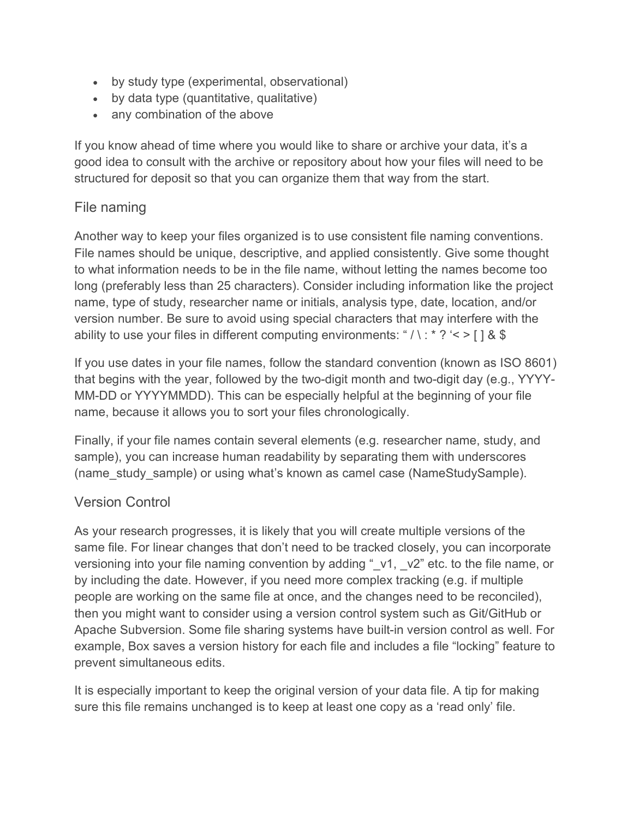- by study type (experimental, observational)
- by data type (quantitative, qualitative)
- any combination of the above

If you know ahead of time where you would like to share or archive your data, it's a good idea to consult with the archive or repository about how your files will need to be structured for deposit so that you can organize them that way from the start.

#### File naming

Another way to keep your files organized is to use consistent file naming conventions. File names should be unique, descriptive, and applied consistently. Give some thought to what information needs to be in the file name, without letting the names become too long (preferably less than 25 characters). Consider including information like the project name, type of study, researcher name or initials, analysis type, date, location, and/or version number. Be sure to avoid using special characters that may interfere with the ability to use your files in different computing environments: " $\lambda$ : \* ? '< > [ ] & \$

If you use dates in your file names, follow the standard convention (known as ISO 8601) that begins with the year, followed by the two-digit month and two-digit day (e.g., YYYY-MM-DD or YYYYMMDD). This can be especially helpful at the beginning of your file name, because it allows you to sort your files chronologically.

Finally, if your file names contain several elements (e.g. researcher name, study, and sample), you can increase human readability by separating them with underscores (name study sample) or using what's known as camel case (NameStudySample).

#### Version Control

As your research progresses, it is likely that you will create multiple versions of the same file. For linear changes that don't need to be tracked closely, you can incorporate versioning into your file naming convention by adding " v1, v2" etc. to the file name, or by including the date. However, if you need more complex tracking (e.g. if multiple people are working on the same file at once, and the changes need to be reconciled), then you might want to consider using a version control system such as Git/GitHub or Apache Subversion. Some file sharing systems have built-in version control as well. For example, Box saves a version history for each file and includes a file "locking" feature to prevent simultaneous edits.

It is especially important to keep the original version of your data file. A tip for making sure this file remains unchanged is to keep at least one copy as a 'read only' file.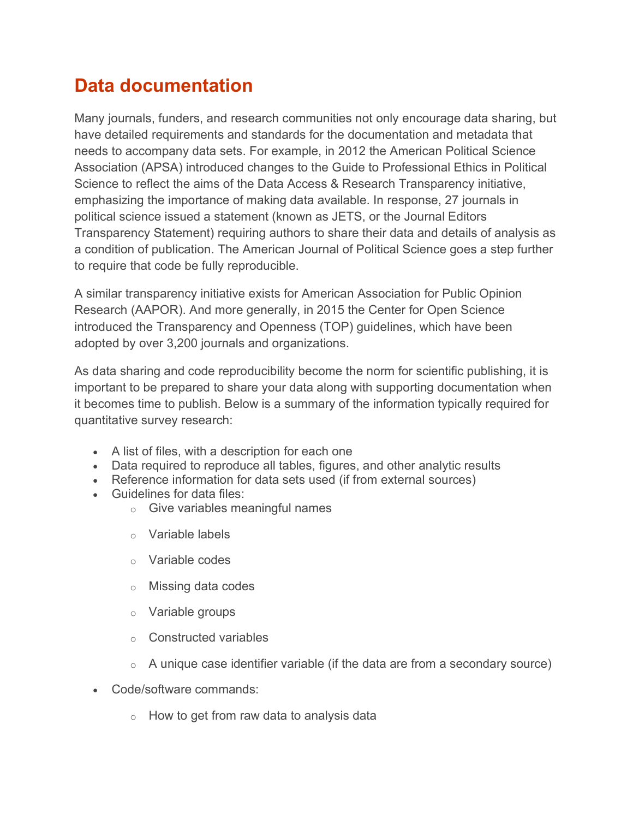# Data documentation

Many journals, funders, and research communities not only encourage data sharing, but have detailed requirements and standards for the documentation and metadata that needs to accompany data sets. For example, in 2012 the American Political Science Association (APSA) introduced changes to the Guide to Professional Ethics in Political Science to reflect the aims of the Data Access & Research Transparency initiative, emphasizing the importance of making data available. In response, 27 journals in political science issued a statement (known as JETS, or the Journal Editors Transparency Statement) requiring authors to share their data and details of analysis as a condition of publication. The American Journal of Political Science goes a step further to require that code be fully reproducible.

A similar transparency initiative exists for American Association for Public Opinion Research (AAPOR). And more generally, in 2015 the Center for Open Science introduced the Transparency and Openness (TOP) guidelines, which have been adopted by over 3,200 journals and organizations.

As data sharing and code reproducibility become the norm for scientific publishing, it is important to be prepared to share your data along with supporting documentation when it becomes time to publish. Below is a summary of the information typically required for quantitative survey research:

- A list of files, with a description for each one
- Data required to reproduce all tables, figures, and other analytic results
- Reference information for data sets used (if from external sources)
- Guidelines for data files:
	- o Give variables meaningful names
	- o Variable labels
	- o Variable codes
	- o Missing data codes
	- o Variable groups
	- o Constructed variables
	- $\circ$  A unique case identifier variable (if the data are from a secondary source)
- Code/software commands:
	- $\circ$  How to get from raw data to analysis data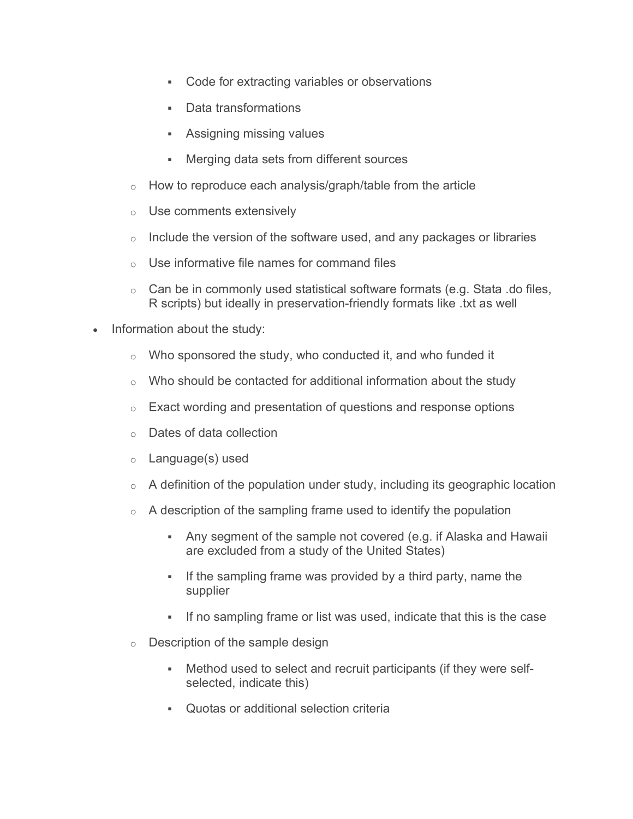- Code for extracting variables or observations
- Data transformations
- Assigning missing values
- Merging data sets from different sources
- $\circ$  How to reproduce each analysis/graph/table from the article
- o Use comments extensively
- $\circ$  Include the version of the software used, and any packages or libraries
- $\circ$  Use informative file names for command files
- $\circ$  Can be in commonly used statistical software formats (e.g. Stata .do files, R scripts) but ideally in preservation-friendly formats like .txt as well
- Information about the study:
	- $\circ$  Who sponsored the study, who conducted it, and who funded it
	- $\circ$  Who should be contacted for additional information about the study
	- $\circ$  Exact wording and presentation of questions and response options
	- o Dates of data collection
	- o Language(s) used
	- $\circ$  A definition of the population under study, including its geographic location
	- $\circ$  A description of the sampling frame used to identify the population
		- Any segment of the sample not covered (e.g. if Alaska and Hawaii are excluded from a study of the United States)
		- If the sampling frame was provided by a third party, name the supplier
		- If no sampling frame or list was used, indicate that this is the case
	- o Description of the sample design
		- Method used to select and recruit participants (if they were selfselected, indicate this)
		- Quotas or additional selection criteria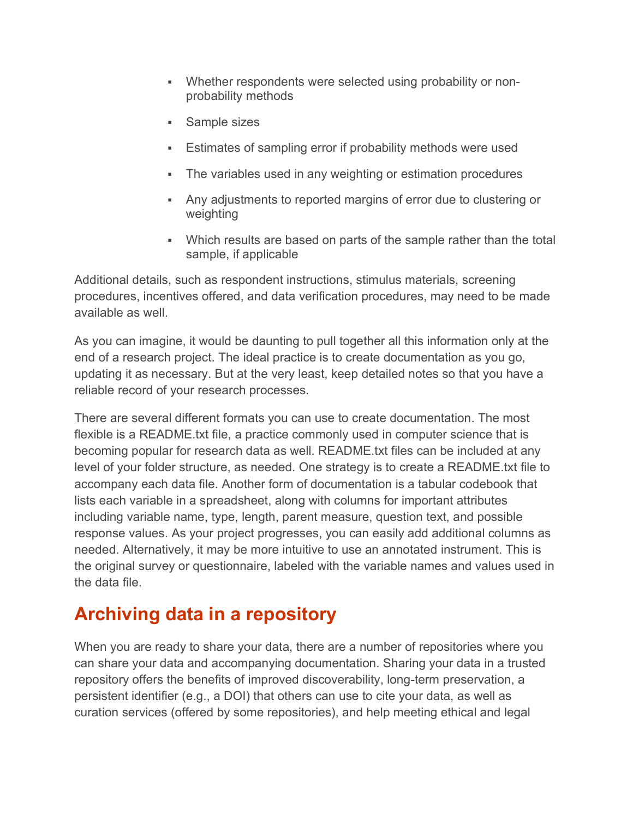- Whether respondents were selected using probability or nonprobability methods
- Sample sizes
- Estimates of sampling error if probability methods were used
- The variables used in any weighting or estimation procedures
- Any adjustments to reported margins of error due to clustering or weighting
- Which results are based on parts of the sample rather than the total sample, if applicable

Additional details, such as respondent instructions, stimulus materials, screening procedures, incentives offered, and data verification procedures, may need to be made available as well.

As you can imagine, it would be daunting to pull together all this information only at the end of a research project. The ideal practice is to create documentation as you go, updating it as necessary. But at the very least, keep detailed notes so that you have a reliable record of your research processes.

There are several different formats you can use to create documentation. The most flexible is a README.txt file, a practice commonly used in computer science that is becoming popular for research data as well. README.txt files can be included at any level of your folder structure, as needed. One strategy is to create a README.txt file to accompany each data file. Another form of documentation is a tabular codebook that lists each variable in a spreadsheet, along with columns for important attributes including variable name, type, length, parent measure, question text, and possible response values. As your project progresses, you can easily add additional columns as needed. Alternatively, it may be more intuitive to use an annotated instrument. This is the original survey or questionnaire, labeled with the variable names and values used in the data file.

# Archiving data in a repository

When you are ready to share your data, there are a number of repositories where you can share your data and accompanying documentation. Sharing your data in a trusted repository offers the benefits of improved discoverability, long-term preservation, a persistent identifier (e.g., a DOI) that others can use to cite your data, as well as curation services (offered by some repositories), and help meeting ethical and legal